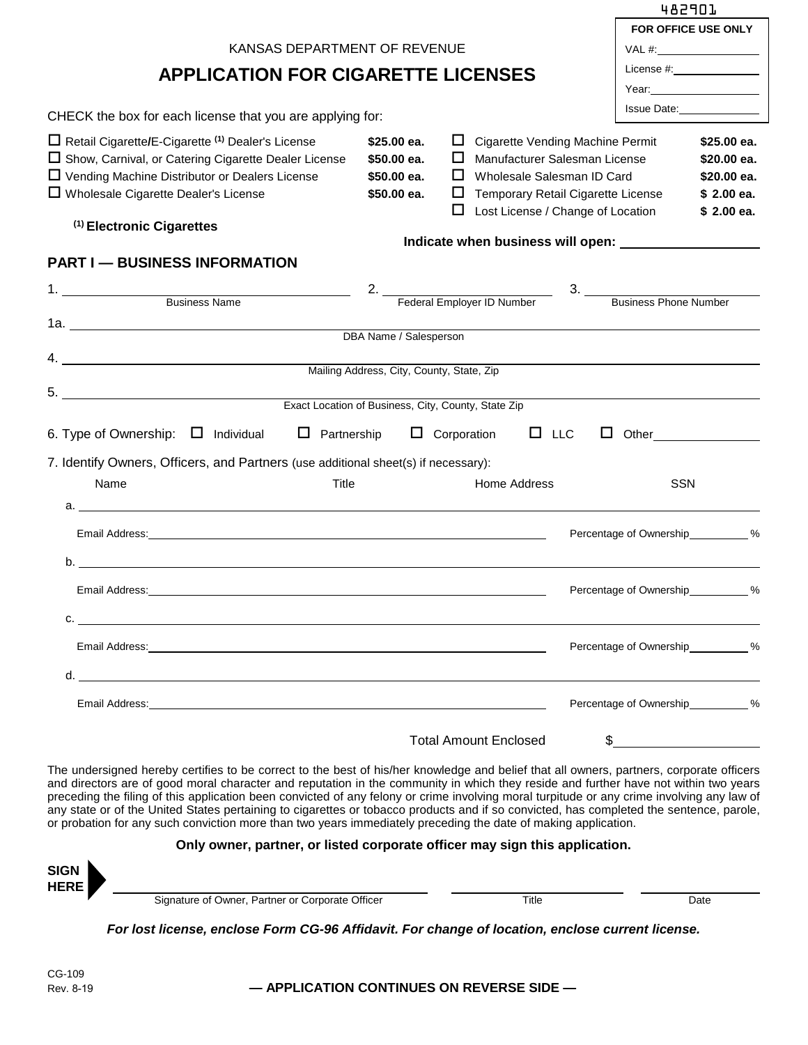|                                                                                                                                                        |                                                     |                                           |                            | <b>482901</b>                       |                     |  |
|--------------------------------------------------------------------------------------------------------------------------------------------------------|-----------------------------------------------------|-------------------------------------------|----------------------------|-------------------------------------|---------------------|--|
|                                                                                                                                                        |                                                     |                                           |                            |                                     | FOR OFFICE USE ONLY |  |
| KANSAS DEPARTMENT OF REVENUE<br><b>APPLICATION FOR CIGARETTE LICENSES</b>                                                                              |                                                     |                                           |                            |                                     |                     |  |
|                                                                                                                                                        |                                                     |                                           |                            |                                     |                     |  |
|                                                                                                                                                        |                                                     |                                           |                            | Year: 1990 1991                     |                     |  |
| CHECK the box for each license that you are applying for:                                                                                              |                                                     | Issue Date: 1997                          |                            |                                     |                     |  |
| Retail Cigarette/E-Cigarette <sup>(1)</sup> Dealer's License                                                                                           | \$25.00 ea.                                         | Cigarette Vending Machine Permit<br>ப     |                            |                                     | \$25.00 ea.         |  |
| □ Show, Carnival, or Catering Cigarette Dealer License                                                                                                 | \$50.00 ea.                                         | Manufacturer Salesman License<br>⊔        |                            |                                     | \$20.00 ea.         |  |
| □ Vending Machine Distributor or Dealers License<br>ப<br>\$50.00 ea.                                                                                   |                                                     |                                           | Wholesale Salesman ID Card |                                     | \$20.00 ea.         |  |
| $\Box$ Wholesale Cigarette Dealer's License                                                                                                            | \$50.00 ea.                                         | Temporary Retail Cigarette License<br>⊔ – |                            |                                     | \$2.00 ea.          |  |
|                                                                                                                                                        |                                                     | □<br>Lost License / Change of Location    |                            |                                     | $$2.00$ ea.         |  |
| <sup>(1)</sup> Electronic Cigarettes                                                                                                                   |                                                     |                                           |                            |                                     |                     |  |
| <b>PART I - BUSINESS INFORMATION</b>                                                                                                                   |                                                     |                                           |                            |                                     |                     |  |
|                                                                                                                                                        |                                                     |                                           |                            |                                     |                     |  |
| 1. Rusiness Name                                                                                                                                       |                                                     | 2. Federal Employer ID Number             |                            | 3. Business Phone Number            |                     |  |
|                                                                                                                                                        |                                                     |                                           |                            |                                     |                     |  |
|                                                                                                                                                        | DBA Name / Salesperson                              |                                           |                            |                                     |                     |  |
|                                                                                                                                                        |                                                     |                                           |                            |                                     |                     |  |
|                                                                                                                                                        |                                                     |                                           |                            |                                     |                     |  |
|                                                                                                                                                        | Mailing Address, City, County, State, Zip           |                                           |                            |                                     |                     |  |
|                                                                                                                                                        |                                                     |                                           |                            |                                     |                     |  |
|                                                                                                                                                        | Exact Location of Business, City, County, State Zip |                                           |                            |                                     |                     |  |
|                                                                                                                                                        |                                                     | $\Box$ LLC<br>$\Box$ Corporation          |                            | $\Box$ Other $\Box$                 |                     |  |
|                                                                                                                                                        |                                                     |                                           |                            |                                     |                     |  |
| Name<br>Title                                                                                                                                          |                                                     | Home Address                              |                            | <b>SSN</b>                          |                     |  |
|                                                                                                                                                        |                                                     |                                           |                            |                                     |                     |  |
|                                                                                                                                                        |                                                     |                                           |                            |                                     |                     |  |
| Email Address: Email Address: Annual Address: Annual Address: Annual Address: Annual Address: Annual Address: A                                        |                                                     |                                           |                            | Percentage of Ownership___________% |                     |  |
| b.                                                                                                                                                     |                                                     |                                           |                            |                                     |                     |  |
| Email Address:                                                                                                                                         |                                                     |                                           |                            | Percentage of Ownership             | %                   |  |
|                                                                                                                                                        |                                                     |                                           |                            |                                     |                     |  |
| <u> 1989 - Johann Stoff, deutscher Stoff, der Stoff, der Stoff, der Stoff, der Stoff, der Stoff, der Stoff, der S</u><br>c.                            |                                                     |                                           |                            |                                     |                     |  |
|                                                                                                                                                        |                                                     |                                           |                            | Percentage of Ownership__________%  |                     |  |
|                                                                                                                                                        |                                                     |                                           |                            |                                     |                     |  |
| d.<br><u> 1989 - Johann Stoff, deutscher Stoffen und der Stoffen und der Stoffen und der Stoffen und der Stoffen und der</u>                           |                                                     |                                           |                            |                                     |                     |  |
|                                                                                                                                                        |                                                     |                                           |                            | Percentage of Ownership__________%  |                     |  |
| 5.<br>6. Type of Ownership: $\Box$ Individual $\Box$ Partnership<br>7. Identify Owners, Officers, and Partners (use additional sheet(s) if necessary): |                                                     | <b>Total Amount Enclosed</b>              |                            | $\mathsf{\$}$                       |                     |  |

# **Only owner, partner, or listed corporate officer may sign this application.**

or probation for any such conviction more than two years immediately preceding the date of making application.

**SIGN HERE**  Signature of Owner, Partner or Corporate Officer Title Title Title Date

*For lost license, enclose Form CG-96 Affidavit. For change of location, enclose current license.* 

**— APPLICATION CONTINUES ON REVERSE SIDE —**